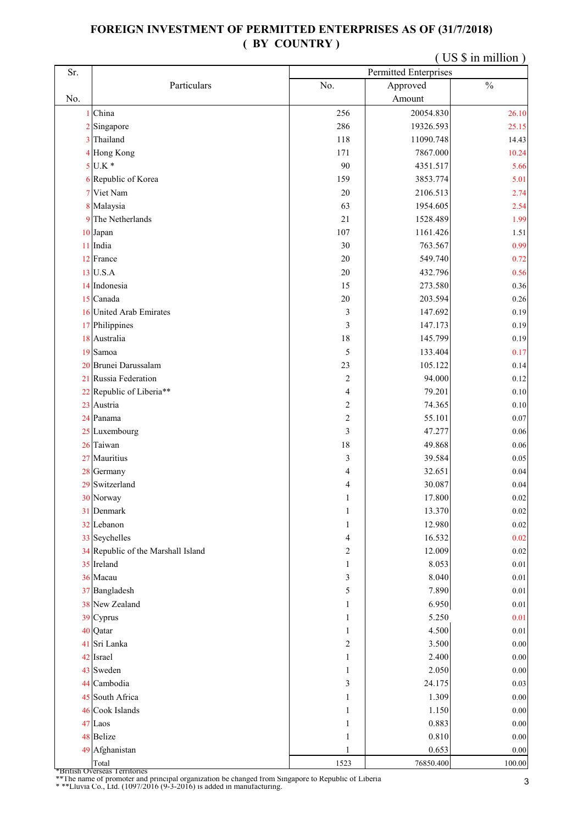## **FOREIGN INVESTMENT OF PERMITTED ENTERPRISES AS OF (31/7/2018) ( BY COUNTRY )**

|     |                                               | (US \$ in million) |                              |               |  |
|-----|-----------------------------------------------|--------------------|------------------------------|---------------|--|
| Sr. |                                               |                    | <b>Permitted Enterprises</b> |               |  |
|     | Particulars                                   | No.                | Approved                     | $\frac{0}{0}$ |  |
| No. |                                               |                    | Amount                       |               |  |
|     | 1 China                                       | 256                | 20054.830                    | 26.10         |  |
|     | 2 Singapore                                   | 286                | 19326.593                    | 25.15         |  |
|     | 3 Thailand                                    | 118                | 11090.748                    | 14.43         |  |
|     | 4 Hong Kong                                   | 171                | 7867.000                     | 10.24         |  |
|     | $5$ U.K $*$                                   | 90                 | 4351.517                     | 5.66          |  |
|     | 6 Republic of Korea                           | 159                | 3853.774                     | 5.01          |  |
|     | 7 Viet Nam                                    | $20\,$             | 2106.513                     | 2.74          |  |
|     | 8 Malaysia                                    | 63                 | 1954.605                     | 2.54          |  |
|     | 9 The Netherlands                             | 21                 | 1528.489                     | 1.99          |  |
|     | 10 Japan                                      | 107                | 1161.426                     | 1.51          |  |
|     | 11 India                                      | 30                 | 763.567                      | 0.99          |  |
|     | 12 France                                     | 20                 | 549.740                      | 0.72          |  |
|     | 13 U.S.A                                      | $20\,$             | 432.796                      | 0.56          |  |
|     | 14 Indonesia                                  | 15                 | 273.580                      | 0.36          |  |
|     | 15 Canada                                     | $20\,$             | 203.594                      | 0.26          |  |
|     | 16 United Arab Emirates                       | 3                  | 147.692                      | 0.19          |  |
|     | 17 Philippines                                | 3                  | 147.173                      | 0.19          |  |
|     | 18 Australia                                  | $1\,8$             | 145.799                      | 0.19          |  |
|     | 19 Samoa                                      | 5                  | 133.404                      | 0.17          |  |
|     | 20 Brunei Darussalam                          | 23                 | 105.122                      | 0.14          |  |
|     | 21 Russia Federation                          | $\overline{c}$     | 94.000                       | 0.12          |  |
|     | 22 Republic of Liberia**                      | 4                  | 79.201                       | 0.10          |  |
|     | 23 Austria                                    | $\mathbf{2}$       | 74.365                       | $0.10\,$      |  |
|     | 24 Panama                                     | $\mathbf{2}$       | 55.101                       | 0.07          |  |
|     | 25 Luxembourg                                 | 3                  | 47.277                       | 0.06          |  |
|     | 26 Taiwan                                     | $18\,$             | 49.868                       | $0.06\,$      |  |
|     | 27 Mauritius                                  | 3                  | 39.584                       | 0.05          |  |
|     | 28 Germany                                    | 4                  | 32.651                       | 0.04          |  |
|     | 29 Switzerland                                | 4                  | 30.087                       | 0.04          |  |
|     | 30 Norway                                     | 1                  | 17.800                       | $0.02\,$      |  |
|     | 31 Denmark                                    | 1                  | 13.370                       | 0.02          |  |
|     | 32 Lebanon                                    | $\mathbf{1}$       | 12.980                       | 0.02          |  |
|     | 33 Seychelles                                 | 4                  | 16.532                       | $0.02\,$      |  |
|     | 34 Republic of the Marshall Island            | 2                  | 12.009                       | 0.02          |  |
|     | 35 Ireland                                    | 1                  | 8.053                        | 0.01          |  |
|     | 36 Macau                                      | 3                  | 8.040                        | $0.01\,$      |  |
|     | 37 Bangladesh                                 | 5                  | 7.890                        | 0.01          |  |
|     | 38 New Zealand                                | 1                  | 6.950                        | $0.01\,$      |  |
|     | 39 Cyprus                                     | $\mathbf{1}$       | 5.250                        | 0.01          |  |
|     | 40 Qatar                                      | $\mathbf{1}$       | 4.500                        | $0.01\,$      |  |
|     | 41 Sri Lanka                                  | $\sqrt{2}$         | 3.500                        | $0.00\,$      |  |
|     | 42 Israel                                     | $\mathbf{1}$       | 2.400                        | $0.00\,$      |  |
|     | 43 Sweden                                     | $\mathbf{1}$       | 2.050                        | $0.00\,$      |  |
|     | 44 Cambodia                                   | 3                  | 24.175                       | 0.03          |  |
|     | 45 South Africa                               | 1                  | 1.309                        | $0.00\,$      |  |
|     | 46 Cook Islands                               | 1                  | 1.150                        | 0.00          |  |
|     | 47 Laos                                       | $\mathbf{1}$       | 0.883                        | $0.00\,$      |  |
|     | 48 Belize                                     | 1                  | 0.810                        | $0.00\,$      |  |
|     | 49 Afghanistan                                | $\mathbf{1}$       | 0.653                        | $0.00\,$      |  |
|     | Total<br><i>*British Overseas Territories</i> | 1523               | 76850.400                    | 100.00        |  |

\* \*\*Lluvia Co., Ltd. (1097/2016 (9-3-2016) is added in manufacturing. \*\*The name of promoter and principal organization be changed from Singapore to Republic of Liberia 3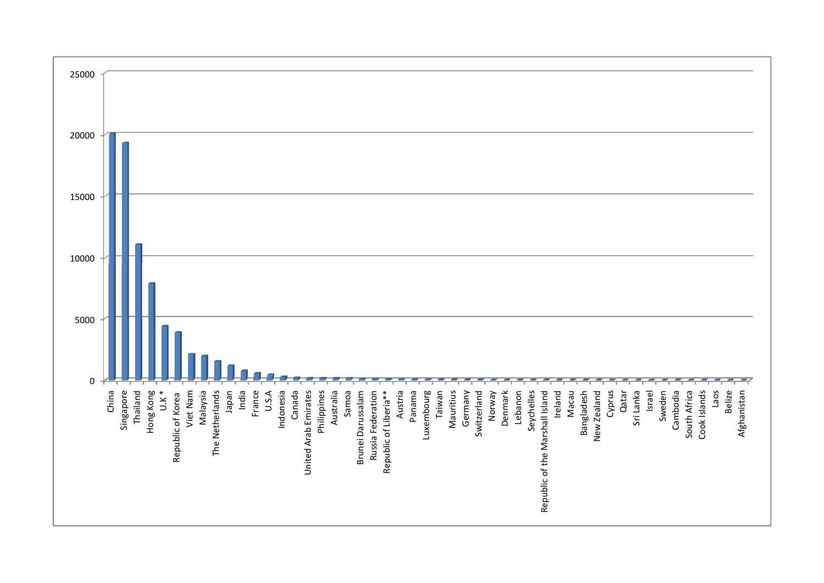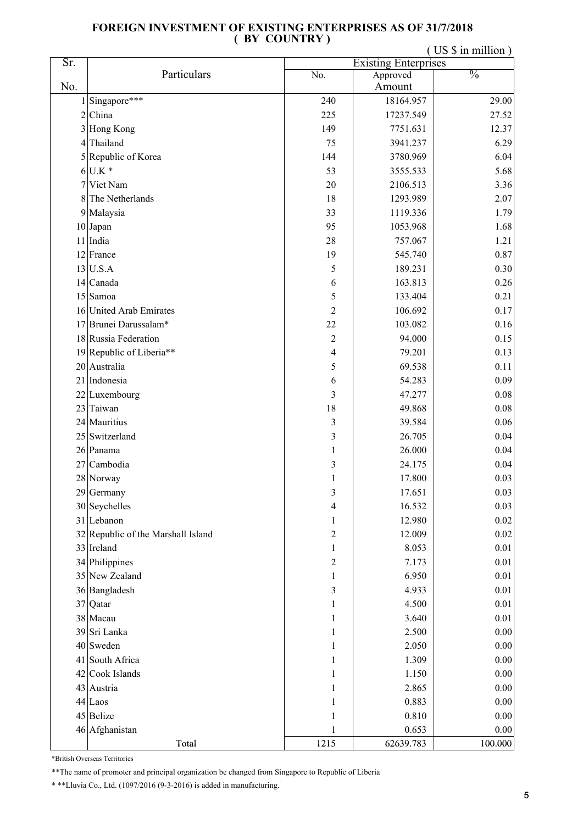## **FOREIGN INVESTMENT OF EXISTING ENTERPRISES AS OF 31/7/2018 ( BY COUNTRY )**

( US \$ in million )

| Sr.            |                                    | <b>Existing Enterprises</b> |           |               |
|----------------|------------------------------------|-----------------------------|-----------|---------------|
|                | Particulars                        | No.                         | Approved  | $\frac{0}{0}$ |
| No.            |                                    |                             | Amount    |               |
|                | Singapore***                       | 240                         | 18164.957 | 29.00         |
| $\overline{c}$ | China                              | 225                         | 17237.549 | 27.52         |
| 3              | Hong Kong                          | 149                         | 7751.631  | 12.37         |
| 4              | Thailand                           | 75                          | 3941.237  | 6.29          |
|                | 5 Republic of Korea                | 144                         | 3780.969  | 6.04          |
|                | $6$ U.K $*$                        | 53                          | 3555.533  | 5.68          |
| 7              | Viet Nam                           | 20                          | 2106.513  | 3.36          |
| 8              | The Netherlands                    | 18                          | 1293.989  | 2.07          |
|                | 9 Malaysia                         | 33                          | 1119.336  | 1.79          |
|                | 10 Japan                           | 95                          | 1053.968  | 1.68          |
|                | 11 India                           | 28                          | 757.067   | 1.21          |
|                | 12 France                          | 19                          | 545.740   | 0.87          |
|                | 13 U.S.A                           | $\mathfrak s$               | 189.231   | 0.30          |
|                | 14 Canada                          | 6                           | 163.813   | 0.26          |
|                | 15 Samoa                           | 5                           | 133.404   | 0.21          |
|                | 16 United Arab Emirates            | $\overline{2}$              | 106.692   | 0.17          |
|                | 17 Brunei Darussalam*              | 22                          | 103.082   | 0.16          |
|                | 18 Russia Federation               | $\overline{2}$              | 94.000    | 0.15          |
|                | 19 Republic of Liberia**           | 4                           | 79.201    | 0.13          |
|                | 20 Australia                       | 5                           | 69.538    | 0.11          |
|                | 21 Indonesia                       | 6                           | 54.283    | 0.09          |
|                | 22 Luxembourg                      | 3                           | 47.277    | $0.08\,$      |
|                | 23 Taiwan                          | 18                          | 49.868    | 0.08          |
|                | 24 Mauritius                       | $\overline{\mathbf{3}}$     | 39.584    | 0.06          |
|                | 25 Switzerland                     | 3                           | 26.705    | 0.04          |
|                | 26 Panama                          | 1                           | 26.000    | 0.04          |
| 27             | Cambodia                           | 3                           | 24.175    | 0.04          |
|                | 28 Norway                          | 1                           | 17.800    | 0.03          |
|                | 29 Germany                         | 3                           | 17.651    | $0.03\,$      |
|                | 30 Seychelles                      | 4                           | 16.532    | 0.03          |
|                | 31 Lebanon                         | $\mathbf{1}$                | 12.980    | 0.02          |
|                | 32 Republic of the Marshall Island | $\overline{c}$              | 12.009    | $0.02\,$      |
|                | 33 Ireland                         | $\mathbf{1}$                | 8.053     | 0.01          |
|                | 34 Philippines                     | $\overline{c}$              | 7.173     | 0.01          |
|                | 35 New Zealand                     | $\mathbf{1}$                | 6.950     | 0.01          |
|                | 36 Bangladesh                      | 3                           | 4.933     | 0.01          |
|                | 37 Qatar                           | 1                           | 4.500     | 0.01          |
|                | 38 Macau                           | 1                           | 3.640     | 0.01          |
|                | 39 Sri Lanka                       | 1                           | 2.500     | 0.00          |
|                | 40 Sweden                          | 1                           | 2.050     | $0.00\,$      |
|                | 41 South Africa                    | 1                           | 1.309     | 0.00          |
|                | 42 Cook Islands                    | 1                           | 1.150     | 0.00          |
|                | 43 Austria                         | 1                           | 2.865     | 0.00          |
|                | 44 Laos                            | 1                           | 0.883     | 0.00          |
|                | 45 Belize                          | 1                           | 0.810     | $0.00\,$      |
|                | 46 Afghanistan                     | 1                           | 0.653     | $0.00\,$      |
|                | Total                              | 1215                        | 62639.783 | 100.000       |

\*British Overseas Territories

\*\*The name of promoter and principal organization be changed from Singapore to Republic of Liberia

\* \*\*Lluvia Co., Ltd. (1097/2016 (9-3-2016) is added in manufacturing.